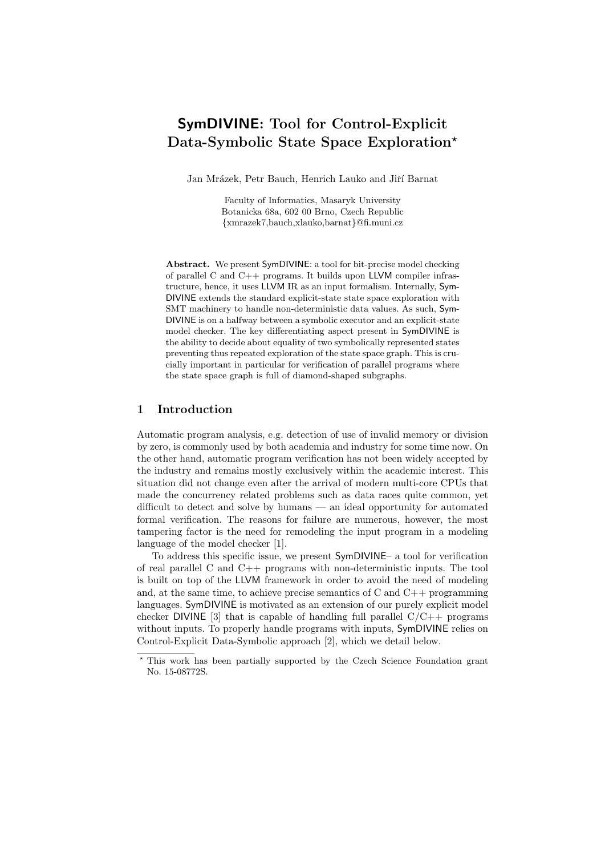# SymDIVINE: Tool for Control-Explicit Data-Symbolic State Space Exploration?

Jan Mrázek, Petr Bauch, Henrich Lauko and Jiří Barnat

Faculty of Informatics, Masaryk University Botanicka 68a, 602 00 Brno, Czech Republic {xmrazek7,bauch,xlauko,barnat}@fi.muni.cz

Abstract. We present SymDIVINE: a tool for bit-precise model checking of parallel C and  $C++$  programs. It builds upon LLVM compiler infrastructure, hence, it uses LLVM IR as an input formalism. Internally, Sym-DIVINE extends the standard explicit-state state space exploration with SMT machinery to handle non-deterministic data values. As such, Sym-DIVINE is on a halfway between a symbolic executor and an explicit-state model checker. The key differentiating aspect present in SymDIVINE is the ability to decide about equality of two symbolically represented states preventing thus repeated exploration of the state space graph. This is crucially important in particular for verification of parallel programs where the state space graph is full of diamond-shaped subgraphs.

## 1 Introduction

Automatic program analysis, e.g. detection of use of invalid memory or division by zero, is commonly used by both academia and industry for some time now. On the other hand, automatic program verification has not been widely accepted by the industry and remains mostly exclusively within the academic interest. This situation did not change even after the arrival of modern multi-core CPUs that made the concurrency related problems such as data races quite common, yet difficult to detect and solve by humans — an ideal opportunity for automated formal verification. The reasons for failure are numerous, however, the most tampering factor is the need for remodeling the input program in a modeling language of the model checker [1].

To address this specific issue, we present SymDIVINE– a tool for verification of real parallel C and C++ programs with non-deterministic inputs. The tool is built on top of the LLVM framework in order to avoid the need of modeling and, at the same time, to achieve precise semantics of  $C$  and  $C_{++}$  programming languages. SymDIVINE is motivated as an extension of our purely explicit model checker DIVINE [3] that is capable of handling full parallel  $C/C++$  programs without inputs. To properly handle programs with inputs, SymDIVINE relies on Control-Explicit Data-Symbolic approach [2], which we detail below.

<sup>?</sup> This work has been partially supported by the Czech Science Foundation grant No. 15-08772S.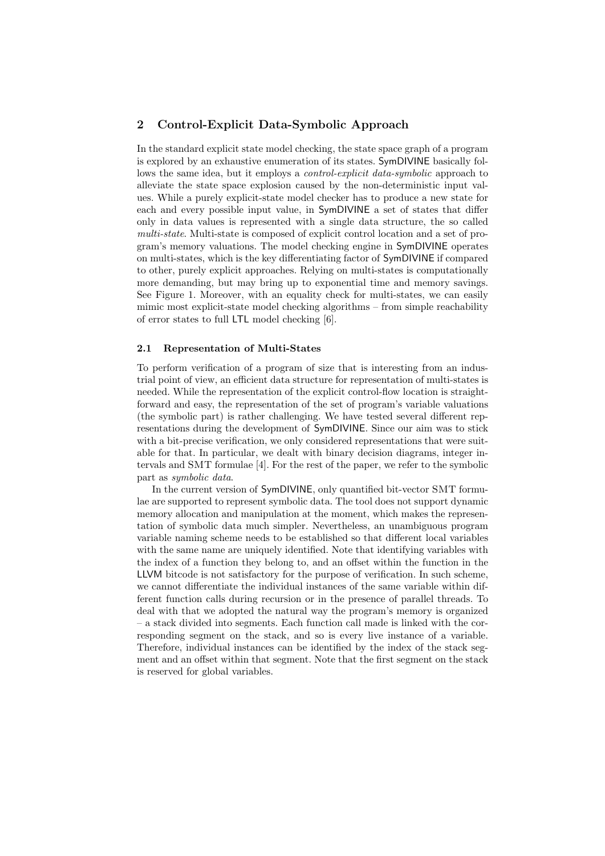## 2 Control-Explicit Data-Symbolic Approach

In the standard explicit state model checking, the state space graph of a program is explored by an exhaustive enumeration of its states. SymDIVINE basically follows the same idea, but it employs a *control-explicit data-symbolic* approach to alleviate the state space explosion caused by the non-deterministic input values. While a purely explicit-state model checker has to produce a new state for each and every possible input value, in SymDIVINE a set of states that differ only in data values is represented with a single data structure, the so called multi-state. Multi-state is composed of explicit control location and a set of program's memory valuations. The model checking engine in SymDIVINE operates on multi-states, which is the key differentiating factor of SymDIVINE if compared to other, purely explicit approaches. Relying on multi-states is computationally more demanding, but may bring up to exponential time and memory savings. See Figure 1. Moreover, with an equality check for multi-states, we can easily mimic most explicit-state model checking algorithms – from simple reachability of error states to full LTL model checking [6].

#### 2.1 Representation of Multi-States

To perform verification of a program of size that is interesting from an industrial point of view, an efficient data structure for representation of multi-states is needed. While the representation of the explicit control-flow location is straightforward and easy, the representation of the set of program's variable valuations (the symbolic part) is rather challenging. We have tested several different representations during the development of SymDIVINE. Since our aim was to stick with a bit-precise verification, we only considered representations that were suitable for that. In particular, we dealt with binary decision diagrams, integer intervals and SMT formulae [4]. For the rest of the paper, we refer to the symbolic part as symbolic data.

In the current version of SymDIVINE, only quantified bit-vector SMT formulae are supported to represent symbolic data. The tool does not support dynamic memory allocation and manipulation at the moment, which makes the representation of symbolic data much simpler. Nevertheless, an unambiguous program variable naming scheme needs to be established so that different local variables with the same name are uniquely identified. Note that identifying variables with the index of a function they belong to, and an offset within the function in the LLVM bitcode is not satisfactory for the purpose of verification. In such scheme, we cannot differentiate the individual instances of the same variable within different function calls during recursion or in the presence of parallel threads. To deal with that we adopted the natural way the program's memory is organized – a stack divided into segments. Each function call made is linked with the corresponding segment on the stack, and so is every live instance of a variable. Therefore, individual instances can be identified by the index of the stack segment and an offset within that segment. Note that the first segment on the stack is reserved for global variables.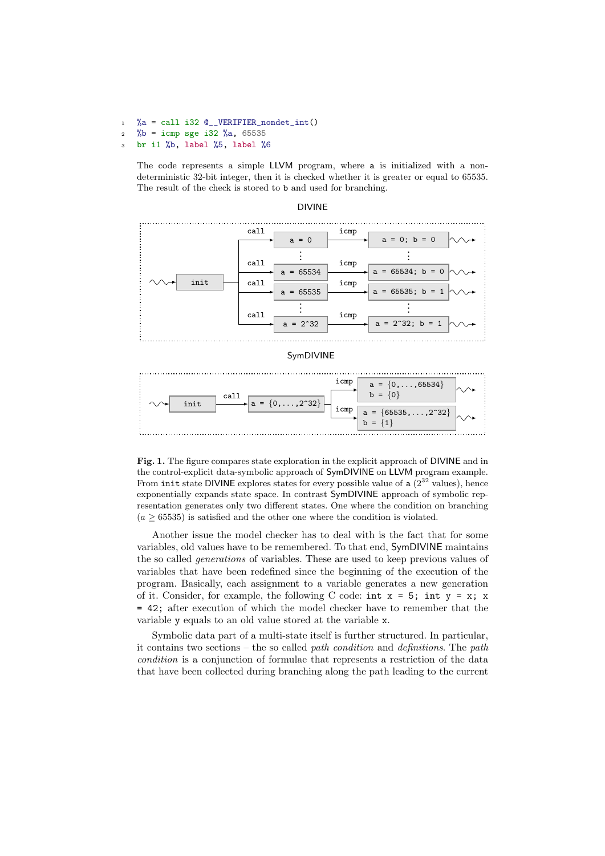```
1 %a = call i32 Q_VERIFIER_nondet_int()
```
 $2 \frac{\%b}{\$b} = i$ cmp sge i32 %a, 65535

<sup>3</sup> br i1 %b, label %5, label %6

The code represents a simple LLVM program, where a is initialized with a nondeterministic 32-bit integer, then it is checked whether it is greater or equal to 65535. The result of the check is stored to b and used for branching.



#### DIVINE





Fig. 1. The figure compares state exploration in the explicit approach of DIVINE and in the control-explicit data-symbolic approach of SymDIVINE on LLVM program example. From init state DIVINE explores states for every possible value of  $a(2^{32}$  values), hence exponentially expands state space. In contrast SymDIVINE approach of symbolic representation generates only two different states. One where the condition on branching  $(a \geq 65535)$  is satisfied and the other one where the condition is violated.

Another issue the model checker has to deal with is the fact that for some variables, old values have to be remembered. To that end, SymDIVINE maintains the so called generations of variables. These are used to keep previous values of variables that have been redefined since the beginning of the execution of the program. Basically, each assignment to a variable generates a new generation of it. Consider, for example, the following C code:  $int x = 5$ ;  $int y = x$ ; x = 42; after execution of which the model checker have to remember that the variable y equals to an old value stored at the variable x.

Symbolic data part of a multi-state itself is further structured. In particular, it contains two sections – the so called path condition and definitions. The path condition is a conjunction of formulae that represents a restriction of the data that have been collected during branching along the path leading to the current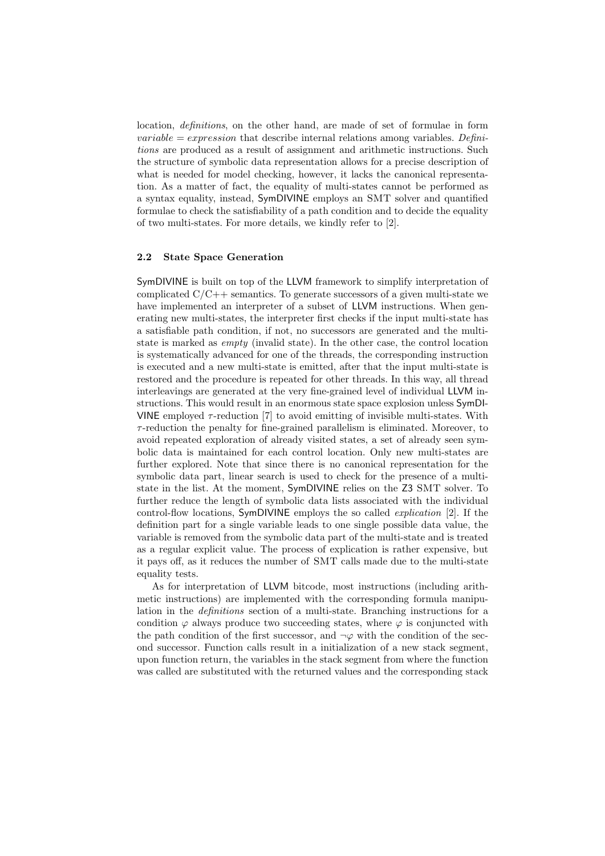location, definitions, on the other hand, are made of set of formulae in form *variable = expression* that describe internal relations among variables. Definitions are produced as a result of assignment and arithmetic instructions. Such the structure of symbolic data representation allows for a precise description of what is needed for model checking, however, it lacks the canonical representation. As a matter of fact, the equality of multi-states cannot be performed as a syntax equality, instead, SymDIVINE employs an SMT solver and quantified formulae to check the satisfiability of a path condition and to decide the equality of two multi-states. For more details, we kindly refer to [2].

#### 2.2 State Space Generation

SymDIVINE is built on top of the LLVM framework to simplify interpretation of complicated  $C/C++$  semantics. To generate successors of a given multi-state we have implemented an interpreter of a subset of LLVM instructions. When generating new multi-states, the interpreter first checks if the input multi-state has a satisfiable path condition, if not, no successors are generated and the multistate is marked as empty (invalid state). In the other case, the control location is systematically advanced for one of the threads, the corresponding instruction is executed and a new multi-state is emitted, after that the input multi-state is restored and the procedure is repeated for other threads. In this way, all thread interleavings are generated at the very fine-grained level of individual LLVM instructions. This would result in an enormous state space explosion unless SymDI-VINE employed  $\tau$ -reduction [7] to avoid emitting of invisible multi-states. With  $\tau$ -reduction the penalty for fine-grained parallelism is eliminated. Moreover, to avoid repeated exploration of already visited states, a set of already seen symbolic data is maintained for each control location. Only new multi-states are further explored. Note that since there is no canonical representation for the symbolic data part, linear search is used to check for the presence of a multistate in the list. At the moment, SymDIVINE relies on the Z3 SMT solver. To further reduce the length of symbolic data lists associated with the individual control-flow locations, SymDIVINE employs the so called explication [2]. If the definition part for a single variable leads to one single possible data value, the variable is removed from the symbolic data part of the multi-state and is treated as a regular explicit value. The process of explication is rather expensive, but it pays off, as it reduces the number of SMT calls made due to the multi-state equality tests.

As for interpretation of LLVM bitcode, most instructions (including arithmetic instructions) are implemented with the corresponding formula manipulation in the definitions section of a multi-state. Branching instructions for a condition  $\varphi$  always produce two succeeding states, where  $\varphi$  is conjuncted with the path condition of the first successor, and  $\neg \varphi$  with the condition of the second successor. Function calls result in a initialization of a new stack segment, upon function return, the variables in the stack segment from where the function was called are substituted with the returned values and the corresponding stack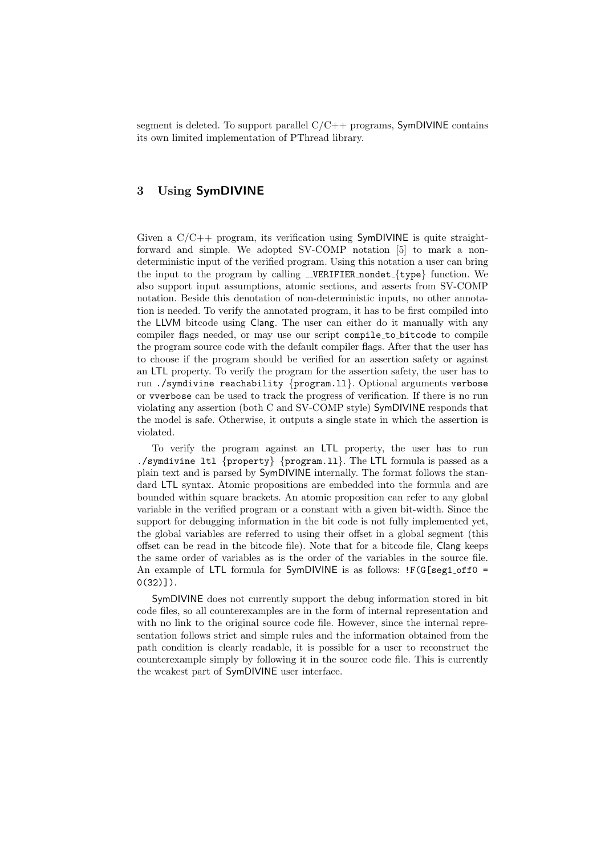segment is deleted. To support parallel  $C/C++$  programs, SymDIVINE contains its own limited implementation of PThread library.

## 3 Using SymDIVINE

Given a C/C++ program, its verification using SymDIVINE is quite straightforward and simple. We adopted SV-COMP notation [5] to mark a nondeterministic input of the verified program. Using this notation a user can bring the input to the program by calling  $\text{\_}VERIFIER$  nondet $\{\text{type}\}$  function. We also support input assumptions, atomic sections, and asserts from SV-COMP notation. Beside this denotation of non-deterministic inputs, no other annotation is needed. To verify the annotated program, it has to be first compiled into the LLVM bitcode using Clang. The user can either do it manually with any compiler flags needed, or may use our script compile to bitcode to compile the program source code with the default compiler flags. After that the user has to choose if the program should be verified for an assertion safety or against an LTL property. To verify the program for the assertion safety, the user has to run ./symdivine reachability {program.ll}. Optional arguments verbose or vverbose can be used to track the progress of verification. If there is no run violating any assertion (both C and SV-COMP style) SymDIVINE responds that the model is safe. Otherwise, it outputs a single state in which the assertion is violated.

To verify the program against an LTL property, the user has to run ./symdivine ltl {property} {program.ll}. The LTL formula is passed as a plain text and is parsed by SymDIVINE internally. The format follows the standard LTL syntax. Atomic propositions are embedded into the formula and are bounded within square brackets. An atomic proposition can refer to any global variable in the verified program or a constant with a given bit-width. Since the support for debugging information in the bit code is not fully implemented yet, the global variables are referred to using their offset in a global segment (this offset can be read in the bitcode file). Note that for a bitcode file, Clang keeps the same order of variables as is the order of the variables in the source file. An example of LTL formula for  $SymDIVINE$  is as follows:  $IF(G[seg1_off0 =$  $0(32)$ ]).

SymDIVINE does not currently support the debug information stored in bit code files, so all counterexamples are in the form of internal representation and with no link to the original source code file. However, since the internal representation follows strict and simple rules and the information obtained from the path condition is clearly readable, it is possible for a user to reconstruct the counterexample simply by following it in the source code file. This is currently the weakest part of SymDIVINE user interface.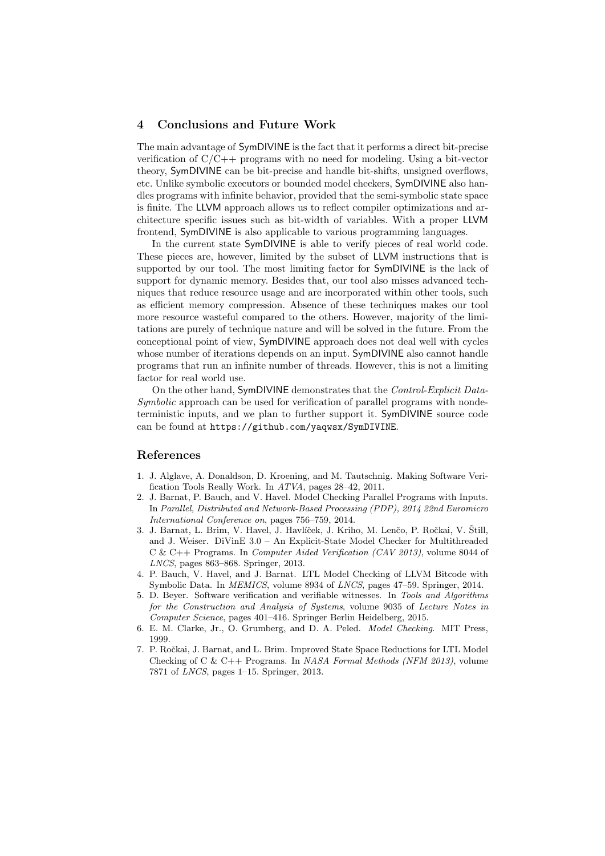#### 4 Conclusions and Future Work

The main advantage of SymDIVINE is the fact that it performs a direct bit-precise verification of C/C++ programs with no need for modeling. Using a bit-vector theory, SymDIVINE can be bit-precise and handle bit-shifts, unsigned overflows, etc. Unlike symbolic executors or bounded model checkers, SymDIVINE also handles programs with infinite behavior, provided that the semi-symbolic state space is finite. The LLVM approach allows us to reflect compiler optimizations and architecture specific issues such as bit-width of variables. With a proper LLVM frontend, SymDIVINE is also applicable to various programming languages.

In the current state SymDIVINE is able to verify pieces of real world code. These pieces are, however, limited by the subset of LLVM instructions that is supported by our tool. The most limiting factor for SymDIVINE is the lack of support for dynamic memory. Besides that, our tool also misses advanced techniques that reduce resource usage and are incorporated within other tools, such as efficient memory compression. Absence of these techniques makes our tool more resource wasteful compared to the others. However, majority of the limitations are purely of technique nature and will be solved in the future. From the conceptional point of view, SymDIVINE approach does not deal well with cycles whose number of iterations depends on an input. SymDIVINE also cannot handle programs that run an infinite number of threads. However, this is not a limiting factor for real world use.

On the other hand, SymDIVINE demonstrates that the Control-Explicit Data-Symbolic approach can be used for verification of parallel programs with nondeterministic inputs, and we plan to further support it. SymDIVINE source code can be found at https://github.com/yaqwsx/SymDIVINE.

#### References

- 1. J. Alglave, A. Donaldson, D. Kroening, and M. Tautschnig. Making Software Verification Tools Really Work. In ATVA, pages 28–42, 2011.
- 2. J. Barnat, P. Bauch, and V. Havel. Model Checking Parallel Programs with Inputs. In Parallel, Distributed and Network-Based Processing (PDP), 2014 22nd Euromicro International Conference on, pages 756–759, 2014.
- 3. J. Barnat, L. Brim, V. Havel, J. Havlíček, J. Kriho, M. Lenčo, P. Ročkai, V. Štill, and J. Weiser. DiVinE 3.0 – An Explicit-State Model Checker for Multithreaded C & C++ Programs. In Computer Aided Verification (CAV 2013), volume 8044 of LNCS, pages 863–868. Springer, 2013.
- 4. P. Bauch, V. Havel, and J. Barnat. LTL Model Checking of LLVM Bitcode with Symbolic Data. In MEMICS, volume 8934 of LNCS, pages 47–59. Springer, 2014.
- 5. D. Beyer. Software verification and verifiable witnesses. In Tools and Algorithms for the Construction and Analysis of Systems, volume 9035 of Lecture Notes in Computer Science, pages 401–416. Springer Berlin Heidelberg, 2015.
- 6. E. M. Clarke, Jr., O. Grumberg, and D. A. Peled. Model Checking. MIT Press, 1999.
- 7. P. Ročkai, J. Barnat, and L. Brim. Improved State Space Reductions for LTL Model Checking of C & C++ Programs. In NASA Formal Methods (NFM 2013), volume 7871 of LNCS, pages 1–15. Springer, 2013.